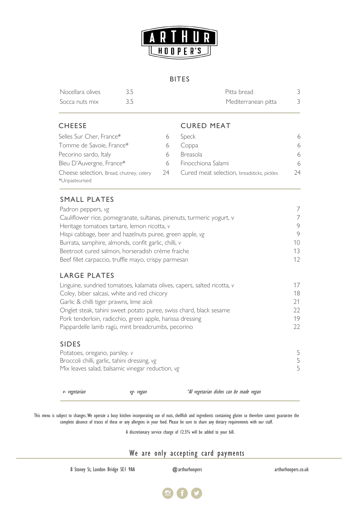

#### BITES

| Nocellara olives | Pitta bread         |  |
|------------------|---------------------|--|
| Socca nuts mix   | Mediterranean pitta |  |

# CHEESE CURED MEAT

| Selles Sur Cher, France*                 |    | Speck                                      | 6  |
|------------------------------------------|----|--------------------------------------------|----|
| Tomme de Savoie, France*                 |    | Coppa                                      | 6  |
| Pecorino sardo, Italy                    |    | <b>Breasola</b>                            | 6  |
| Bleu D'Auvergne, France*                 | 6  | Finocchiona Salami                         | 6  |
| Cheese selection, Bread, chutney, celery | 24 | Cured meat selection, breadsticks, pickles | 24 |
| *Unpasteurised                           |    |                                            |    |

# SMALL PLATES

| Padron peppers, vg                                                    |                 |
|-----------------------------------------------------------------------|-----------------|
| Cauliflower rice, pomegranate, sultanas, pinenuts, turmeric yogurt, v |                 |
| Heritage tomatoes tartare, lemon ricotta, v                           | 9               |
| Hispi cabbage, beer and hazelnuts puree, green apple, vg              | 9               |
| Burrata, samphire, almonds, confit garlic, chilli, v                  | 10 <sup>1</sup> |
| Beetroot cured salmon, horseradish crème fraiche                      | 13              |
| Beef fillet carpaccio, truffle mayo, crispy parmesan                  | 12 <sup>°</sup> |
| LARGE PLATES                                                          |                 |

# LARGE PLATES

| 17 |
|----|
| 18 |
| 21 |
| つつ |
| 19 |
| 22 |
|    |

### SIDES

| Potatoes, oregano, parsley, v                    |  |
|--------------------------------------------------|--|
| Broccoli chilli, garlic, tahini dressing, vg     |  |
| Mix leaves salad, balsamic vinegar reduction, vg |  |

v- vegetarian vg- vegan \*Al vegetarian dishes can be made vegan

This menu is subject to changes. We operate a busy kitchen incorporating use of nuts, shellfish and ingredients containing gluten so therefore cannot guarantee the complete absence of traces of these or any allergens in your food. Please be sure to share any dietary requirements with our staff.

A discretionary service charge of 12.5% will be added to your bill.

# We are only accepting card payments